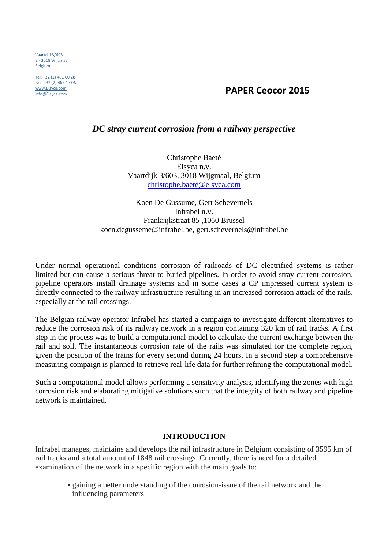Vaartdijk3/603 B - 3018 Wijgmaal Belgium

Tel: +32 (2) 481 60 28 Fax: +32 (2) 463 17 06 www.Elsyca.com

# info@Elsyca.com **PAPER Ceocor 2015**

### *DC stray current corrosion from a railway perspective*

Christophe Baeté Elsyca n.v. Vaartdijk 3/603, 3018 Wijgmaal, Belgium christophe.baete@elsyca.com

Koen De Gussume, Gert Schevernels Infrabel n.v. Frankrijkstraat 85 ,1060 Brussel koen.degusseme@infrabel.be, gert.schevernels@infrabel.be

Under normal operational conditions corrosion of railroads of DC electrified systems is rather limited but can cause a serious threat to buried pipelines. In order to avoid stray current corrosion, pipeline operators install drainage systems and in some cases a CP impressed current system is directly connected to the railway infrastructure resulting in an increased corrosion attack of the rails, especially at the rail crossings.

The Belgian railway operator Infrabel has started a campaign to investigate different alternatives to reduce the corrosion risk of its railway network in a region containing 320 km of rail tracks. A first step in the process was to build a computational model to calculate the current exchange between the rail and soil. The instantaneous corrosion rate of the rails was simulated for the complete region, given the position of the trains for every second during 24 hours. In a second step a comprehensive measuring compaign is planned to retrieve real-life data for further refining the computational model.

Such a computational model allows performing a sensitivity analysis, identifying the zones with high corrosion risk and elaborating mitigative solutions such that the integrity of both railway and pipeline network is maintained.

#### **INTRODUCTION**

Infrabel manages, maintains and develops the rail infrastructure in Belgium consisting of 3595 km of rail tracks and a total amount of 1848 rail crossings. Currently, there is need for a detailed examination of the network in a specific region with the main goals to:

> • gaining a better understanding of the corrosion-issue of the rail network and the influencing parameters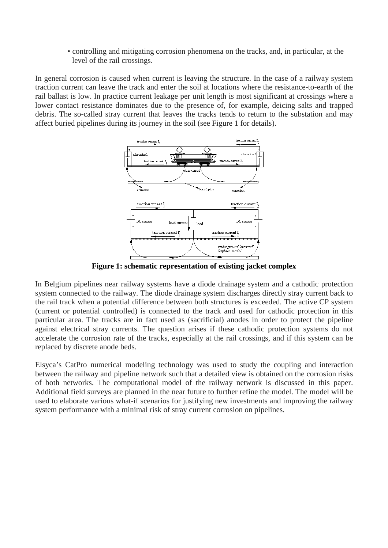• controlling and mitigating corrosion phenomena on the tracks, and, in particular, at the level of the rail crossings.

In general corrosion is caused when current is leaving the structure. In the case of a railway system traction current can leave the track and enter the soil at locations where the resistance-to-earth of the rail ballast is low. In practice current leakage per unit length is most significant at crossings where a lower contact resistance dominates due to the presence of, for example, deicing salts and trapped debris. The so-called stray current that leaves the tracks tends to return to the substation and may affect buried pipelines during its journey in the soil (see Figure 1 for details).



**Figure 1: schematic representation of existing jacket complex** 

In Belgium pipelines near railway systems have a diode drainage system and a cathodic protection system connected to the railway. The diode drainage system discharges directly stray current back to the rail track when a potential difference between both structures is exceeded. The active CP system (current or potential controlled) is connected to the track and used for cathodic protection in this particular area. The tracks are in fact used as (sacrificial) anodes in order to protect the pipeline against electrical stray currents. The question arises if these cathodic protection systems do not accelerate the corrosion rate of the tracks, especially at the rail crossings, and if this system can be replaced by discrete anode beds.

Elsyca's CatPro numerical modeling technology was used to study the coupling and interaction between the railway and pipeline network such that a detailed view is obtained on the corrosion risks of both networks. The computational model of the railway network is discussed in this paper. Additional field surveys are planned in the near future to further refine the model. The model will be used to elaborate various what-if scenarios for justifying new investments and improving the railway system performance with a minimal risk of stray current corrosion on pipelines.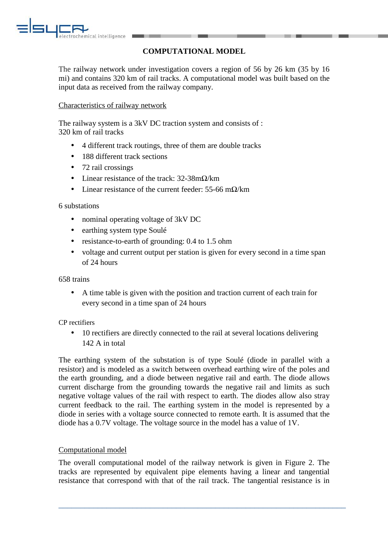

# **COMPUTATIONAL MODEL**

The railway network under investigation covers a region of 56 by 26 km (35 by 16 mi) and contains 320 km of rail tracks. A computational model was built based on the input data as received from the railway company.

### Characteristics of railway network

The railway system is a 3kV DC traction system and consists of : 320 km of rail tracks

- 4 different track routings, three of them are double tracks
- 188 different track sections
- 72 rail crossings
- Linear resistance of the track:  $32-38m\Omega/km$
- Linear resistance of the current feeder:  $55-66$  m $\Omega$ /km

#### 6 substations

- nominal operating voltage of 3kV DC
- earthing system type Soulé
- resistance-to-earth of grounding: 0.4 to 1.5 ohm
- voltage and current output per station is given for every second in a time span of 24 hours

658 trains

• A time table is given with the position and traction current of each train for every second in a time span of 24 hours

CP rectifiers

• 10 rectifiers are directly connected to the rail at several locations delivering 142 A in total

The earthing system of the substation is of type Soulé (diode in parallel with a resistor) and is modeled as a switch between overhead earthing wire of the poles and the earth grounding, and a diode between negative rail and earth. The diode allows current discharge from the grounding towards the negative rail and limits as such negative voltage values of the rail with respect to earth. The diodes allow also stray current feedback to the rail. The earthing system in the model is represented by a diode in series with a voltage source connected to remote earth. It is assumed that the diode has a 0.7V voltage. The voltage source in the model has a value of 1V.

#### Computational model

The overall computational model of the railway network is given in Figure 2. The tracks are represented by equivalent pipe elements having a linear and tangential resistance that correspond with that of the rail track. The tangential resistance is in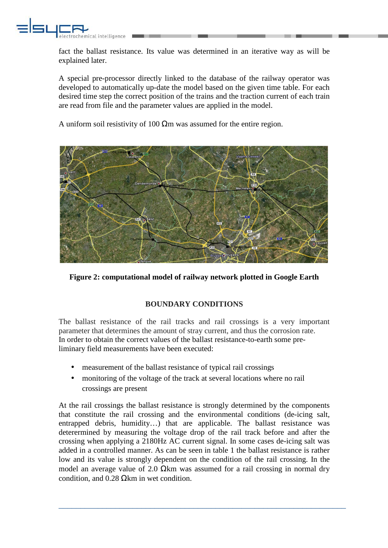

fact the ballast resistance. Its value was determined in an iterative way as will be explained later.

A special pre-processor directly linked to the database of the railway operator was developed to automatically up-date the model based on the given time table. For each desired time step the correct position of the trains and the traction current of each train are read from file and the parameter values are applied in the model.

A uniform soil resistivity of 100  $\Omega$ m was assumed for the entire region.



**Figure 2: computational model of railway network plotted in Google Earth** 

# **BOUNDARY CONDITIONS**

The ballast resistance of the rail tracks and rail crossings is a very important parameter that determines the amount of stray current, and thus the corrosion rate. In order to obtain the correct values of the ballast resistance-to-earth some preliminary field measurements have been executed:

- measurement of the ballast resistance of typical rail crossings
- monitoring of the voltage of the track at several locations where no rail crossings are present

At the rail crossings the ballast resistance is strongly determined by the components that constitute the rail crossing and the environmental conditions (de-icing salt, entrapped debris, humidity…) that are applicable. The ballast resistance was deterermined by measuring the voltage drop of the rail track before and after the crossing when applying a 2180Hz AC current signal. In some cases de-icing salt was added in a controlled manner. As can be seen in table 1 the ballast resistance is rather low and its value is strongly dependent on the condition of the rail crossing. In the model an average value of 2.0  $\Omega$ km was assumed for a rail crossing in normal dry condition, and  $0.28$  Ωkm in wet condition.

 $\overline{a_1}$  ,  $\overline{a_2}$  ,  $\overline{a_3}$  ,  $\overline{a_4}$  ,  $\overline{a_5}$  ,  $\overline{a_6}$  ,  $\overline{a_7}$  ,  $\overline{a_8}$  ,  $\overline{a_9}$  ,  $\overline{a_9}$  ,  $\overline{a_9}$  ,  $\overline{a_9}$  ,  $\overline{a_9}$  ,  $\overline{a_9}$  ,  $\overline{a_9}$  ,  $\overline{a_9}$  ,  $\overline{a_9}$  ,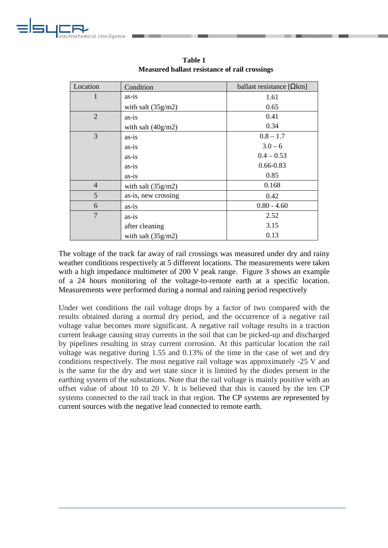

| Location       | Condition            | ballast resistance $[Qkm]$ |
|----------------|----------------------|----------------------------|
| 1              | as-is                | 1.61                       |
|                | with salt $(35g/m2)$ | 0.65                       |
| 2              | as-is                | 0.41                       |
|                | with salt $(40g/m2)$ | 0.34                       |
| 3              | as-is                | $0.8 - 1.7$                |
|                | as-is                | $3.0 - 6$                  |
|                | as-is                | $0.4 - 0.53$               |
|                | as-is                | $0.66 - 0.83$              |
|                | as-is                | 0.85                       |
| $\overline{4}$ | with salt $(35g/m2)$ | 0.168                      |
| 5              | as-is, new crossing  | 0.42                       |
| 6              | as-is                | $0.80 - 4.60$              |
| $\overline{7}$ | as-is                | 2.52                       |
|                | after cleaning       | 3.15                       |
|                | with salt $(35g/m2)$ | 0.13                       |

**Table 1 Measured ballast resistance of rail crossings**

The voltage of the track far away of rail crossings was measured under dry and rainy weather conditions respectively at 5 different locations. The measurements were taken with a high impedance multimeter of 200 V peak range. Figure 3 shows an example of a 24 hours monitoring of the voltage-to-remote earth at a specific location. Measurements were performed during a normal and raining period respectively

Under wet conditions the rail voltage drops by a factor of two compared with the results obtained during a normal dry period, and the occurrence of a negative rail voltage value becomes more significant. A negative rail voltage results in a traction current leakage causing stray currents in the soil that can be picked-up and discharged by pipelines resulting in stray current corrosion. At this particular location the rail voltage was negative during 1.55 and 0.13% of the time in the case of wet and dry conditions respectively. The most negative rail voltage was approximately -25 V and is the same for the dry and wet state since it is limited by the diodes present in the earthing system of the substations. Note that the rail voltage is mainly positive with an offset value of about 10 to 20 V. It is believed that this is caused by the ten CP systems connected to the rail track in that region. The CP systems are represented by current sources with the negative lead connected to remote earth.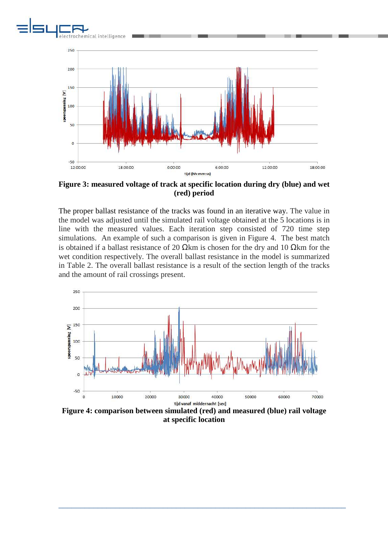



**Figure 3: measured voltage of track at specific location during dry (blue) and wet (red) period** 

The proper ballast resistance of the tracks was found in an iterative way. The value in the model was adjusted until the simulated rail voltage obtained at the 5 locations is in line with the measured values. Each iteration step consisted of 720 time step simulations. An example of such a comparison is given in Figure 4. The best match is obtained if a ballast resistance of 20  $\Omega$ km is chosen for the dry and 10  $\Omega$ km for the wet condition respectively. The overall ballast resistance in the model is summarized in Table 2. The overall ballast resistance is a result of the section length of the tracks and the amount of rail crossings present.



**Figure 4: comparison between simulated (red) and measured (blue) rail voltage at specific location**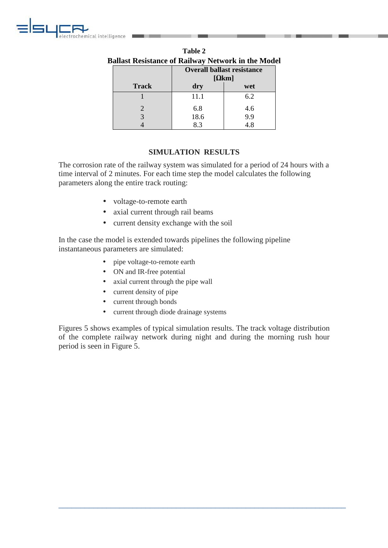

| Ballast Resistance of Railway Network in the Mode |                                    |     |  |  |  |
|---------------------------------------------------|------------------------------------|-----|--|--|--|
|                                                   | <b>Overall ballast resistance</b>  |     |  |  |  |
|                                                   | $\lceil \Omega \mathrm{km} \rceil$ |     |  |  |  |
| <b>Track</b>                                      | dry                                | wet |  |  |  |
|                                                   | 11.1                               | 6.2 |  |  |  |
| 2                                                 | 6.8                                | 4.6 |  |  |  |
| 3                                                 | 18.6                               | 9.9 |  |  |  |
|                                                   | 8.3                                | 4.8 |  |  |  |

| Table 2                                                   |  |  |  |  |  |
|-----------------------------------------------------------|--|--|--|--|--|
| <b>Ballast Resistance of Railway Network in the Model</b> |  |  |  |  |  |
|                                                           |  |  |  |  |  |

# **SIMULATION RESULTS**

The corrosion rate of the railway system was simulated for a period of 24 hours with a time interval of 2 minutes. For each time step the model calculates the following parameters along the entire track routing:

- voltage-to-remote earth
- axial current through rail beams
- current density exchange with the soil

In the case the model is extended towards pipelines the following pipeline instantaneous parameters are simulated:

- pipe voltage-to-remote earth
- ON and IR-free potential
- axial current through the pipe wall
- current density of pipe
- current through bonds
- current through diode drainage systems

Figures 5 shows examples of typical simulation results. The track voltage distribution of the complete railway network during night and during the morning rush hour period is seen in Figure 5.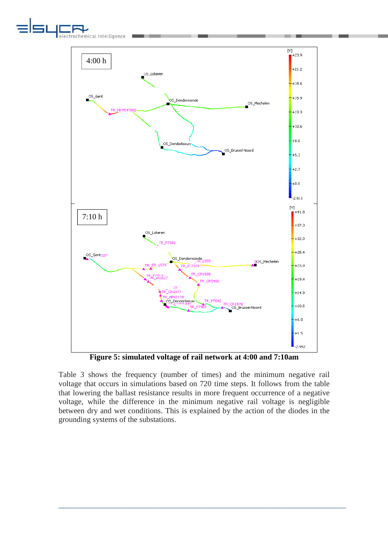



**Figure 5: simulated voltage of rail network at 4:00 and 7:10am** 

Table 3 shows the frequency (number of times) and the minimum negative rail voltage that occurs in simulations based on 720 time steps. It follows from the table that lowering the ballast resistance results in more frequent occurrence of a negative voltage, while the difference in the minimum negative rail voltage is negligible between dry and wet conditions. This is explained by the action of the diodes in the grounding systems of the substations.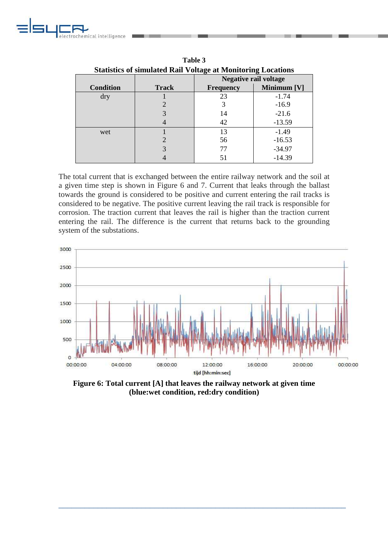

| <b>Statistics of simulated Rail Voltage at Monitoring Locations</b> |              |                              |             |  |  |  |
|---------------------------------------------------------------------|--------------|------------------------------|-------------|--|--|--|
|                                                                     |              | <b>Negative rail voltage</b> |             |  |  |  |
| <b>Condition</b>                                                    | <b>Track</b> | <b>Frequency</b>             | Minimum [V] |  |  |  |
| dry                                                                 |              | 23                           | $-1.74$     |  |  |  |
|                                                                     |              |                              | $-16.9$     |  |  |  |
|                                                                     |              | 14                           | $-21.6$     |  |  |  |
|                                                                     |              | 42                           | $-13.59$    |  |  |  |
| wet                                                                 |              | 13                           | $-1.49$     |  |  |  |
|                                                                     |              | 56                           | $-16.53$    |  |  |  |
|                                                                     |              | 77                           | $-34.97$    |  |  |  |
|                                                                     |              | 51                           | $-14.39$    |  |  |  |

**Table 3** 

The total current that is exchanged between the entire railway network and the soil at a given time step is shown in Figure 6 and 7. Current that leaks through the ballast towards the ground is considered to be positive and current entering the rail tracks is considered to be negative. The positive current leaving the rail track is responsible for corrosion. The traction current that leaves the rail is higher than the traction current entering the rail. The difference is the current that returns back to the grounding system of the substations.



**Figure 6: Total current [A] that leaves the railway network at given time (blue:wet condition, red:dry condition)**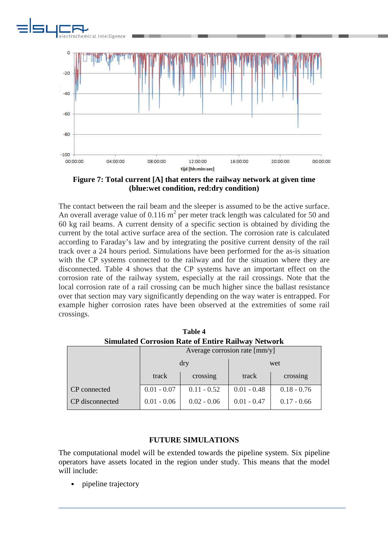



**Figure 7: Total current [A] that enters the railway network at given time (blue:wet condition, red:dry condition)** 

The contact between the rail beam and the sleeper is assumed to be the active surface. An overall average value of 0.116  $m^2$  per meter track length was calculated for 50 and 60 kg rail beams. A current density of a specific section is obtained by dividing the current by the total active surface area of the section. The corrosion rate is calculated according to Faraday's law and by integrating the positive current density of the rail track over a 24 hours period. Simulations have been performed for the as-is situation with the CP systems connected to the railway and for the situation where they are disconnected. Table 4 shows that the CP systems have an important effect on the corrosion rate of the railway system, especially at the rail crossings. Note that the local corrosion rate of a rail crossing can be much higher since the ballast resistance over that section may vary significantly depending on the way water is entrapped. For example higher corrosion rates have been observed at the extremities of some rail crossings.

| $D$ iliumuvu $D$ oli odioli turvo ol liitule tumi $D$ u $\rightarrow$ |                               |               |               |               |  |  |  |
|-----------------------------------------------------------------------|-------------------------------|---------------|---------------|---------------|--|--|--|
|                                                                       | Average corrosion rate [mm/y] |               |               |               |  |  |  |
|                                                                       | dry                           |               | wet           |               |  |  |  |
|                                                                       | track                         | crossing      | track         | crossing      |  |  |  |
| CP connected                                                          | $0.01 - 0.07$                 | $0.11 - 0.52$ | $0.01 - 0.48$ | $0.18 - 0.76$ |  |  |  |
| CP disconnected                                                       | $0.01 - 0.06$                 | $0.02 - 0.06$ | $0.01 - 0.47$ | $0.17 - 0.66$ |  |  |  |

**Table 4 Simulated Corrosion Rate of Entire Railway Network**

#### **FUTURE SIMULATIONS**

The computational model will be extended towards the pipeline system. Six pipeline operators have assets located in the region under study. This means that the model will include:

\_\_\_\_\_\_\_\_\_\_\_\_\_\_\_\_\_\_\_\_\_\_\_\_\_\_\_\_\_\_\_\_\_\_\_\_\_\_\_\_\_\_\_\_\_\_\_\_\_\_\_\_\_\_\_\_\_\_\_\_\_\_\_\_\_\_

pipeline trajectory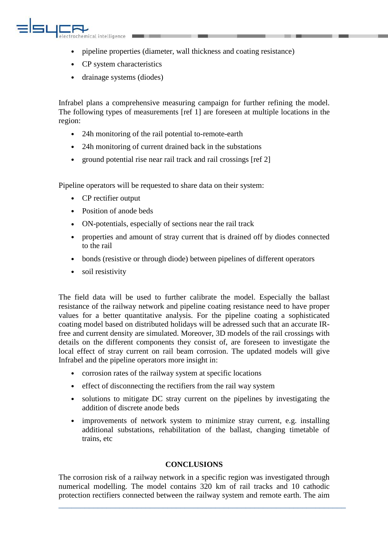

- pipeline properties (diameter, wall thickness and coating resistance)
- CP system characteristics
- drainage systems (diodes)

Infrabel plans a comprehensive measuring campaign for further refining the model. The following types of measurements [ref 1] are foreseen at multiple locations in the region:

- 24h monitoring of the rail potential to-remote-earth
- 24h monitoring of current drained back in the substations
- ground potential rise near rail track and rail crossings [ref 2]

Pipeline operators will be requested to share data on their system:

- CP rectifier output
- Position of anode beds
- ON-potentials, especially of sections near the rail track
- properties and amount of stray current that is drained off by diodes connected to the rail
- bonds (resistive or through diode) between pipelines of different operators
- soil resistivity

The field data will be used to further calibrate the model. Especially the ballast resistance of the railway network and pipeline coating resistance need to have proper values for a better quantitative analysis. For the pipeline coating a sophisticated coating model based on distributed holidays will be adressed such that an accurate IRfree and current density are simulated. Moreover, 3D models of the rail crossings with details on the different components they consist of, are foreseen to investigate the local effect of stray current on rail beam corrosion. The updated models will give Infrabel and the pipeline operators more insight in:

- corrosion rates of the railway system at specific locations
- effect of disconnecting the rectifiers from the rail way system
- solutions to mitigate DC stray current on the pipelines by investigating the addition of discrete anode beds
- improvements of network system to minimize stray current, e.g. installing additional substations, rehabilitation of the ballast, changing timetable of trains, etc

#### **CONCLUSIONS**

The corrosion risk of a railway network in a specific region was investigated through numerical modelling. The model contains 320 km of rail tracks and 10 cathodic protection rectifiers connected between the railway system and remote earth. The aim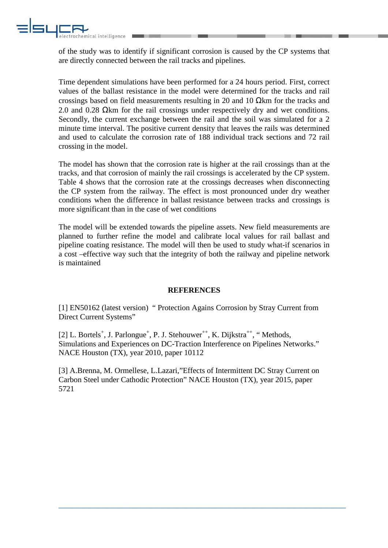

of the study was to identify if significant corrosion is caused by the CP systems that are directly connected between the rail tracks and pipelines.

Time dependent simulations have been performed for a 24 hours period. First, correct values of the ballast resistance in the model were determined for the tracks and rail crossings based on field measurements resulting in 20 and 10  $\Omega$ km for the tracks and 2.0 and 0.28 Ωkm for the rail crossings under respectively dry and wet conditions. Secondly, the current exchange between the rail and the soil was simulated for a 2 minute time interval. The positive current density that leaves the rails was determined and used to calculate the corrosion rate of 188 individual track sections and 72 rail crossing in the model.

The model has shown that the corrosion rate is higher at the rail crossings than at the tracks, and that corrosion of mainly the rail crossings is accelerated by the CP system. Table 4 shows that the corrosion rate at the crossings decreases when disconnecting the CP system from the railway. The effect is most pronounced under dry weather conditions when the difference in ballast resistance between tracks and crossings is more significant than in the case of wet conditions

The model will be extended towards the pipeline assets. New field measurements are planned to further refine the model and calibrate local values for rail ballast and pipeline coating resistance. The model will then be used to study what-if scenarios in a cost –effective way such that the integrity of both the railway and pipeline network is maintained

#### **REFERENCES**

[1] EN50162 (latest version) " Protection Agains Corrosion by Stray Current from Direct Current Systems"

[2] L. Bortels<sup>+</sup>, J. Parlongue<sup>+</sup>, P. J. Stehouwer<sup>++</sup>, K. Dijkstra<sup>++</sup>, "Methods, Simulations and Experiences on DC-Traction Interference on Pipelines Networks." NACE Houston (TX), year 2010, paper 10112

[3] A.Brenna, M. Ormellese, L.Lazari,"Effects of Intermittent DC Stray Current on Carbon Steel under Cathodic Protection" NACE Houston (TX), year 2015, paper 5721